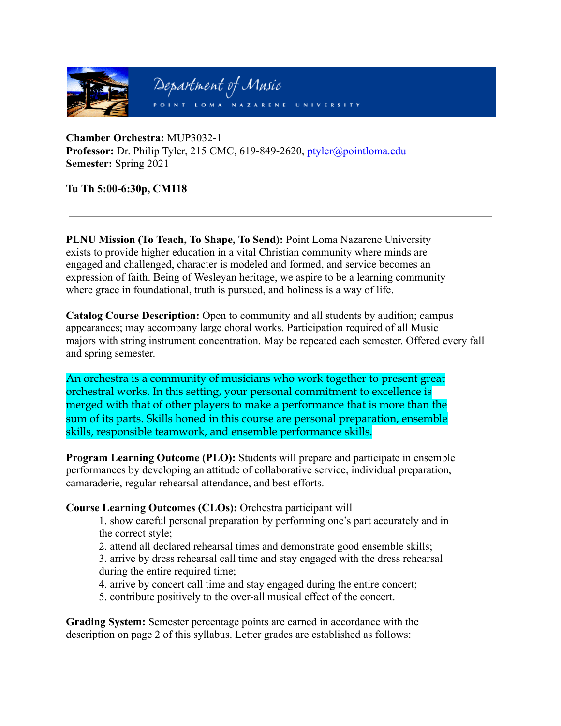

**Chamber Orchestra:** MUP3032-1 **Professor:** Dr. Philip Tyler, 215 CMC, 619-849-2620, ptyler@pointloma.edu **Semester:** Spring 2021

## **Tu Th 5:00-6:30p, CM118**

**PLNU Mission (To Teach, To Shape, To Send):** Point Loma Nazarene University exists to provide higher education in a vital Christian community where minds are engaged and challenged, character is modeled and formed, and service becomes an expression of faith. Being of Wesleyan heritage, we aspire to be a learning community where grace in foundational, truth is pursued, and holiness is a way of life.

**Catalog Course Description:** Open to community and all students by audition; campus appearances; may accompany large choral works. Participation required of all Music majors with string instrument concentration. May be repeated each semester. Offered every fall and spring semester.

An orchestra is a community of musicians who work together to present great orchestral works. In this setting, your personal commitment to excellence is merged with that of other players to make a performance that is more than the sum of its parts. Skills honed in this course are personal preparation, ensemble skills, responsible teamwork, and ensemble performance skills.

**Program Learning Outcome (PLO):** Students will prepare and participate in ensemble performances by developing an attitude of collaborative service, individual preparation, camaraderie, regular rehearsal attendance, and best efforts.

**Course Learning Outcomes (CLOs):** Orchestra participant will

1. show careful personal preparation by performing one's part accurately and in the correct style;

2. attend all declared rehearsal times and demonstrate good ensemble skills;

3. arrive by dress rehearsal call time and stay engaged with the dress rehearsal during the entire required time;

4. arrive by concert call time and stay engaged during the entire concert;

5. contribute positively to the over-all musical effect of the concert.

**Grading System:** Semester percentage points are earned in accordance with the description on page 2 of this syllabus. Letter grades are established as follows: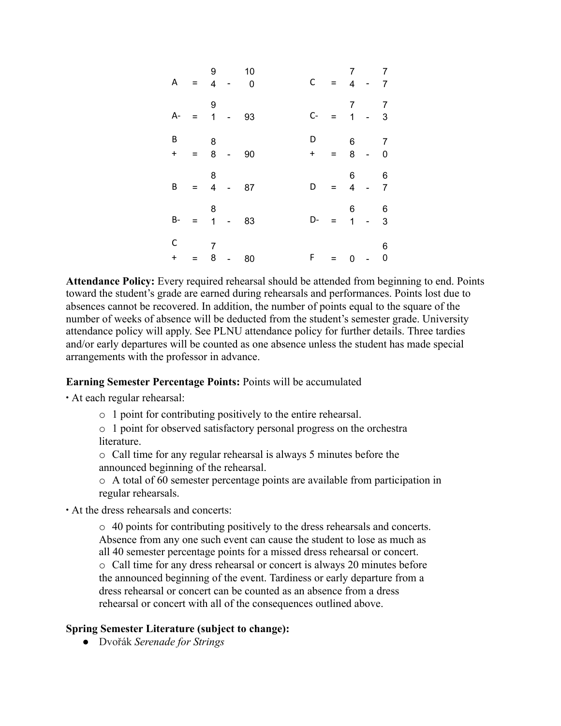| A              | $\alpha = 0$ | 9<br>$\overline{\mathbf{4}}$ |            | 10<br>$\overline{0}$ |          | $C =$                | 7 <sup>7</sup>                   | $4 -$                                          | 7<br>$\overline{7}$               |
|----------------|--------------|------------------------------|------------|----------------------|----------|----------------------|----------------------------------|------------------------------------------------|-----------------------------------|
| A-             | $=$          | 9<br>$\mathbf{1}$            |            | 93                   | $C -$    | $=$                  | 7<br>$\mathbf{1}$                |                                                | $\overline{7}$<br>$\overline{3}$  |
| В<br>$\ddot{}$ | $= 8$        | 8                            | $\sim$ $-$ | 90                   | D<br>$+$ | $\frac{1}{\sqrt{2}}$ | $6\overline{6}$                  | $8 -$                                          | $\overline{7}$<br>$\overline{0}$  |
| B              | $=$          | 8<br>$\overline{\mathbf{4}}$ |            | 87                   | D        | $=$                  | $6 -$<br>$\overline{\mathbf{4}}$ |                                                | $6\overline{6}$<br>$\overline{7}$ |
| $B-$           | $=$          | 8<br>$\overline{1}$          |            | 83                   | D-       | $=$                  | $6 -$<br>$\mathbf{1}$            | $\begin{matrix} & & 6 \\ - & & 3 \end{matrix}$ |                                   |
| C<br>$\pmb{+}$ | Ξ            | 7<br>8                       | $\sim 100$ | 80                   | F        | $=$ $\,$             | $\pmb{0}$                        | $\sim 10$                                      | 6<br>0                            |

**Attendance Policy:** Every required rehearsal should be attended from beginning to end. Points toward the student's grade are earned during rehearsals and performances. Points lost due to absences cannot be recovered. In addition, the number of points equal to the square of the number of weeks of absence will be deducted from the student's semester grade. University attendance policy will apply. See PLNU attendance policy for further details. Three tardies and/or early departures will be counted as one absence unless the student has made special arrangements with the professor in advance.

## **Earning Semester Percentage Points:** Points will be accumulated

∙ At each regular rehearsal:

o 1 point for contributing positively to the entire rehearsal.

o 1 point for observed satisfactory personal progress on the orchestra literature.

o Call time for any regular rehearsal is always 5 minutes before the announced beginning of the rehearsal.

o A total of 60 semester percentage points are available from participation in regular rehearsals.

∙ At the dress rehearsals and concerts:

o 40 points for contributing positively to the dress rehearsals and concerts. Absence from any one such event can cause the student to lose as much as all 40 semester percentage points for a missed dress rehearsal or concert. o Call time for any dress rehearsal or concert is always 20 minutes before the announced beginning of the event. Tardiness or early departure from a dress rehearsal or concert can be counted as an absence from a dress rehearsal or concert with all of the consequences outlined above.

## **Spring Semester Literature (subject to change):**

*●* Dvořák *Serenade for Strings*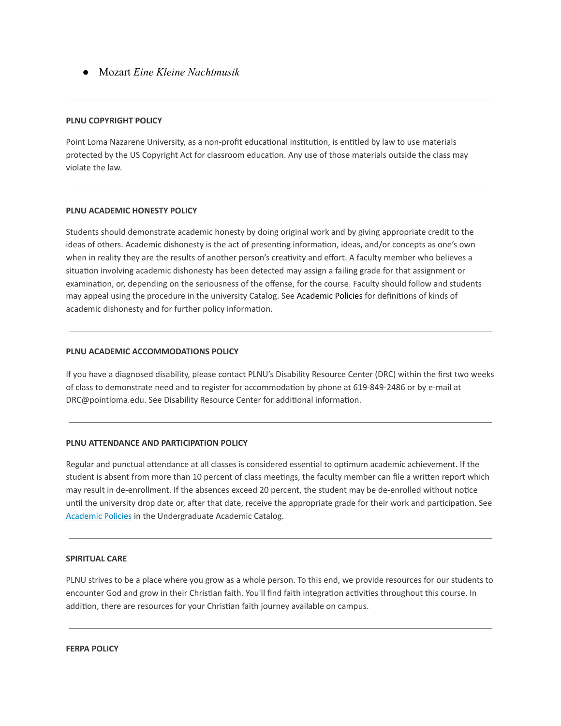*●* Mozart *Eine Kleine Nachtmusik* 

#### **PLNU COPYRIGHT POLICY**

Point Loma Nazarene University, as a non-profit educational institution, is entitled by law to use materials protected by the US Copyright Act for classroom education. Any use of those materials outside the class may violate the law.

#### **PLNU ACADEMIC HONESTY POLICY**

Students should demonstrate academic honesty by doing original work and by giving appropriate credit to the ideas of others. Academic dishonesty is the act of presenting information, ideas, and/or concepts as one's own when in reality they are the results of another person's creativity and effort. A faculty member who believes a situation involving academic dishonesty has been detected may assign a failing grade for that assignment or examination, or, depending on the seriousness of the offense, for the course. Faculty should follow and students may appeal using the procedure in the university Catalog. See Academic Policies for definitions of kinds of academic dishonesty and for further policy information.

#### **PLNU ACADEMIC ACCOMMODATIONS POLICY**

If you have a diagnosed disability, please contact PLNU's Disability Resource Center (DRC) within the first two weeks of class to demonstrate need and to register for accommodation by phone at 619-849-2486 or by e-mail at DRC@pointloma.edu. See Disability Resource Center for additional information.

#### **PLNU ATTENDANCE AND PARTICIPATION POLICY**

Regular and punctual attendance at all classes is considered essential to optimum academic achievement. If the student is absent from more than 10 percent of class meetings, the faculty member can file a written report which may result in de-enrollment. If the absences exceed 20 percent, the student may be de-enrolled without notice until the university drop date or, after that date, receive the appropriate grade for their work and participation. See [Academic](http://catalog.pointloma.edu/content.php?catoid=18&navoid=1278) Policies in the Undergraduate Academic Catalog.

#### **SPIRITUAL CARE**

PLNU strives to be a place where you grow as a whole person. To this end, we provide resources for our students to encounter God and grow in their Christian faith. You'll find faith integration activities throughout this course. In addition, there are resources for your Christian faith journey available on campus.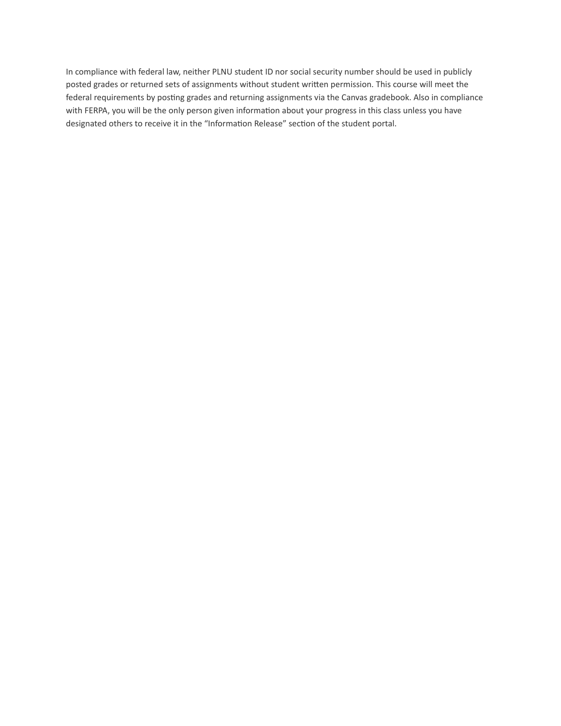In compliance with federal law, neither PLNU student ID nor social security number should be used in publicly posted grades or returned sets of assignments without student written permission. This course will meet the federal requirements by posting grades and returning assignments via the Canvas gradebook. Also in compliance with FERPA, you will be the only person given information about your progress in this class unless you have designated others to receive it in the "Information Release" section of the student portal.